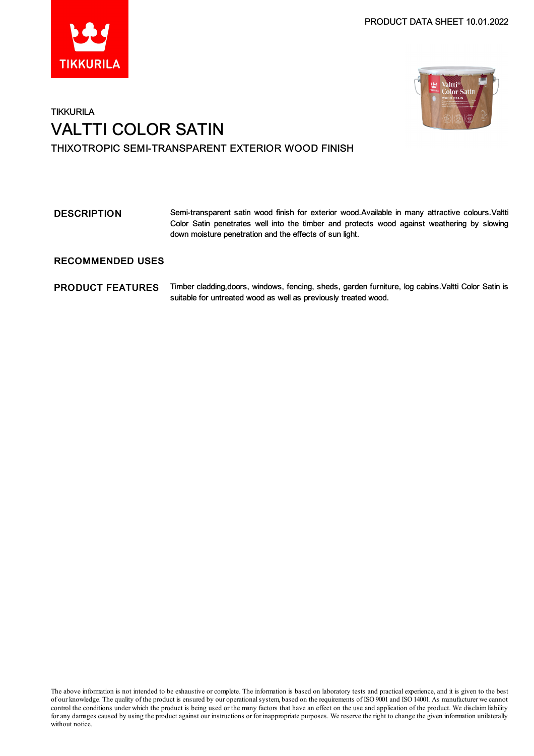



# **TIKKURILA** VALTTI COLOR SATIN THIXOTROPIC SEMI-TRANSPARENT EXTERIOR WOOD FINISH

# DESCRIPTION Semi-transparent satin wood finish for exterior wood.Available in many attractive colours.Valtti Color Satin penetrates well into the timber and protects wood against weathering by slowing down moisture penetration and the effects of sun light.

## RECOMMENDED USES

### PRODUCT FEATURES Timber cladding, doors, windows, fencing, sheds, garden furniture, log cabins. Valtti Color Satin is suitable for untreated wood as well as previously treated wood.

The above information is not intended to be exhaustive or complete. The information is based on laboratory tests and practical experience, and it is given to the best of our knowledge. The quality of the product is ensured by our operationalsystem, based on the requirements of ISO9001 and ISO14001.As manufacturer we cannot control the conditions under which the product is being used or the many factors that have an effect on the use and application of the product. We disclaimliability forany damages caused by using the product against our instructions or for inappropriate purposes. We reserve the right to change the given information unilaterally without notice.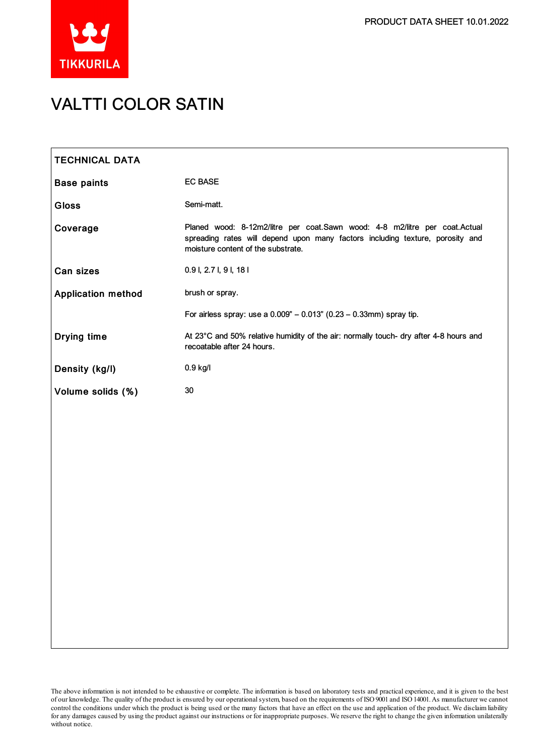

# VALTTI COLOR SATIN

| <b>TECHNICAL DATA</b>     |                                                                                                                                                                                                   |
|---------------------------|---------------------------------------------------------------------------------------------------------------------------------------------------------------------------------------------------|
| <b>Base paints</b>        | <b>EC BASE</b>                                                                                                                                                                                    |
| <b>Gloss</b>              | Semi-matt.                                                                                                                                                                                        |
| Coverage                  | Planed wood: 8-12m2/litre per coat.Sawn wood: 4-8 m2/litre per coat.Actual<br>spreading rates will depend upon many factors including texture, porosity and<br>moisture content of the substrate. |
| Can sizes                 | 0.9 l, 2.7 l, 9 l, 18 l                                                                                                                                                                           |
| <b>Application method</b> | brush or spray.                                                                                                                                                                                   |
|                           | For airless spray: use a $0.009" - 0.013"$ (0.23 - 0.33mm) spray tip.                                                                                                                             |
| Drying time               | At 23°C and 50% relative humidity of the air: normally touch- dry after 4-8 hours and<br>recoatable after 24 hours.                                                                               |
| Density (kg/l)            | 0.9 kg/l                                                                                                                                                                                          |
| Volume solids (%)         | 30                                                                                                                                                                                                |
|                           |                                                                                                                                                                                                   |
|                           |                                                                                                                                                                                                   |
|                           |                                                                                                                                                                                                   |
|                           |                                                                                                                                                                                                   |
|                           |                                                                                                                                                                                                   |
|                           |                                                                                                                                                                                                   |
|                           |                                                                                                                                                                                                   |
|                           |                                                                                                                                                                                                   |
|                           |                                                                                                                                                                                                   |
|                           |                                                                                                                                                                                                   |
|                           |                                                                                                                                                                                                   |

The above information is not intended to be exhaustive or complete. The information is based on laboratory tests and practical experience, and it is given to the best of our knowledge. The quality of the product is ensured by our operationalsystem, based on the requirements of ISO9001 and ISO14001.As manufacturer we cannot control the conditions under which the product is being used or the many factors that have an effect on the use and application of the product. We disclaimliability forany damages caused by using the product against our instructions or for inappropriate purposes. We reserve the right to change the given information unilaterally without notice.